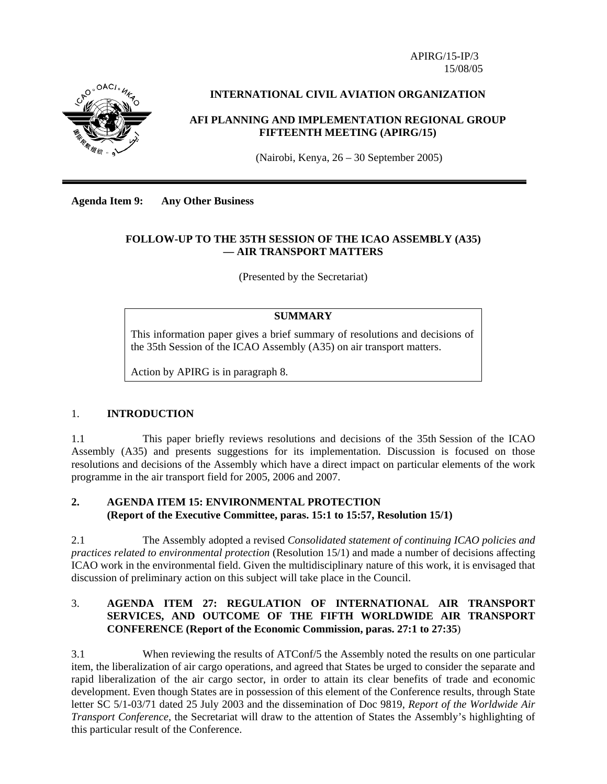APIRG/15-IP/3 15/08/05



## **INTERNATIONAL CIVIL AVIATION ORGANIZATION**

### **AFI PLANNING AND IMPLEMENTATION REGIONAL GROUP FIFTEENTH MEETING (APIRG/15)**

(Nairobi, Kenya, 26 – 30 September 2005)

**Agenda Item 9: Any Other Business** 

### **FOLLOW-UP TO THE 35TH SESSION OF THE ICAO ASSEMBLY (A35) — AIR TRANSPORT MATTERS**

(Presented by the Secretariat)

## **SUMMARY**

This information paper gives a brief summary of resolutions and decisions of the 35th Session of the ICAO Assembly (A35) on air transport matters.

Action by APIRG is in paragraph 8.

#### 1. **INTRODUCTION**

1.1 This paper briefly reviews resolutions and decisions of the 35th Session of the ICAO Assembly (A35) and presents suggestions for its implementation. Discussion is focused on those resolutions and decisions of the Assembly which have a direct impact on particular elements of the work programme in the air transport field for 2005, 2006 and 2007.

## **2. AGENDA ITEM 15: ENVIRONMENTAL PROTECTION (Report of the Executive Committee, paras. 15:1 to 15:57, Resolution 15/1)**

2.1 The Assembly adopted a revised *Consolidated statement of continuing ICAO policies and practices related to environmental protection* (Resolution 15/1) and made a number of decisions affecting ICAO work in the environmental field. Given the multidisciplinary nature of this work, it is envisaged that discussion of preliminary action on this subject will take place in the Council.

## 3. **AGENDA ITEM 27: REGULATION OF INTERNATIONAL AIR TRANSPORT SERVICES, AND OUTCOME OF THE FIFTH WORLDWIDE AIR TRANSPORT CONFERENCE (Report of the Economic Commission, paras. 27:1 to 27:35**)

3.1 When reviewing the results of ATConf/5 the Assembly noted the results on one particular item, the liberalization of air cargo operations, and agreed that States be urged to consider the separate and rapid liberalization of the air cargo sector, in order to attain its clear benefits of trade and economic development. Even though States are in possession of this element of the Conference results, through State letter SC 5/1-03/71 dated 25 July 2003 and the dissemination of Doc 9819, *Report of the Worldwide Air Transport Conference*, the Secretariat will draw to the attention of States the Assembly's highlighting of this particular result of the Conference.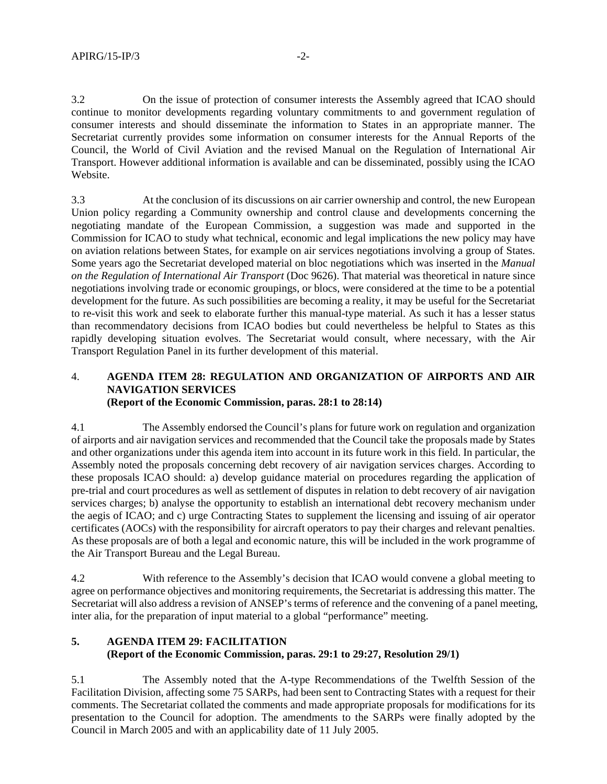3.2 On the issue of protection of consumer interests the Assembly agreed that ICAO should continue to monitor developments regarding voluntary commitments to and government regulation of consumer interests and should disseminate the information to States in an appropriate manner. The Secretariat currently provides some information on consumer interests for the Annual Reports of the Council, the World of Civil Aviation and the revised Manual on the Regulation of International Air Transport. However additional information is available and can be disseminated, possibly using the ICAO Website.

3.3 At the conclusion of its discussions on air carrier ownership and control, the new European Union policy regarding a Community ownership and control clause and developments concerning the negotiating mandate of the European Commission, a suggestion was made and supported in the Commission for ICAO to study what technical, economic and legal implications the new policy may have on aviation relations between States, for example on air services negotiations involving a group of States. Some years ago the Secretariat developed material on bloc negotiations which was inserted in the *Manual on the Regulation of International Air Transport* (Doc 9626). That material was theoretical in nature since negotiations involving trade or economic groupings, or blocs, were considered at the time to be a potential development for the future. As such possibilities are becoming a reality, it may be useful for the Secretariat to re-visit this work and seek to elaborate further this manual-type material. As such it has a lesser status than recommendatory decisions from ICAO bodies but could nevertheless be helpful to States as this rapidly developing situation evolves. The Secretariat would consult, where necessary, with the Air Transport Regulation Panel in its further development of this material.

## 4. **AGENDA ITEM 28: REGULATION AND ORGANIZATION OF AIRPORTS AND AIR NAVIGATION SERVICES (Report of the Economic Commission, paras. 28:1 to 28:14)**

4.1 The Assembly endorsed the Council's plans for future work on regulation and organization of airports and air navigation services and recommended that the Council take the proposals made by States and other organizations under this agenda item into account in its future work in this field. In particular, the Assembly noted the proposals concerning debt recovery of air navigation services charges. According to these proposals ICAO should: a) develop guidance material on procedures regarding the application of pre-trial and court procedures as well as settlement of disputes in relation to debt recovery of air navigation services charges; b) analyse the opportunity to establish an international debt recovery mechanism under the aegis of ICAO; and c) urge Contracting States to supplement the licensing and issuing of air operator certificates (AOCs) with the responsibility for aircraft operators to pay their charges and relevant penalties. As these proposals are of both a legal and economic nature, this will be included in the work programme of the Air Transport Bureau and the Legal Bureau.

4.2 With reference to the Assembly's decision that ICAO would convene a global meeting to agree on performance objectives and monitoring requirements, the Secretariat is addressing this matter. The Secretariat will also address a revision of ANSEP's terms of reference and the convening of a panel meeting, inter alia, for the preparation of input material to a global "performance" meeting.

# **5. AGENDA ITEM 29: FACILITATION (Report of the Economic Commission, paras. 29:1 to 29:27, Resolution 29/1)**

5.1 The Assembly noted that the A-type Recommendations of the Twelfth Session of the Facilitation Division, affecting some 75 SARPs, had been sent to Contracting States with a request for their comments. The Secretariat collated the comments and made appropriate proposals for modifications for its presentation to the Council for adoption. The amendments to the SARPs were finally adopted by the Council in March 2005 and with an applicability date of 11 July 2005.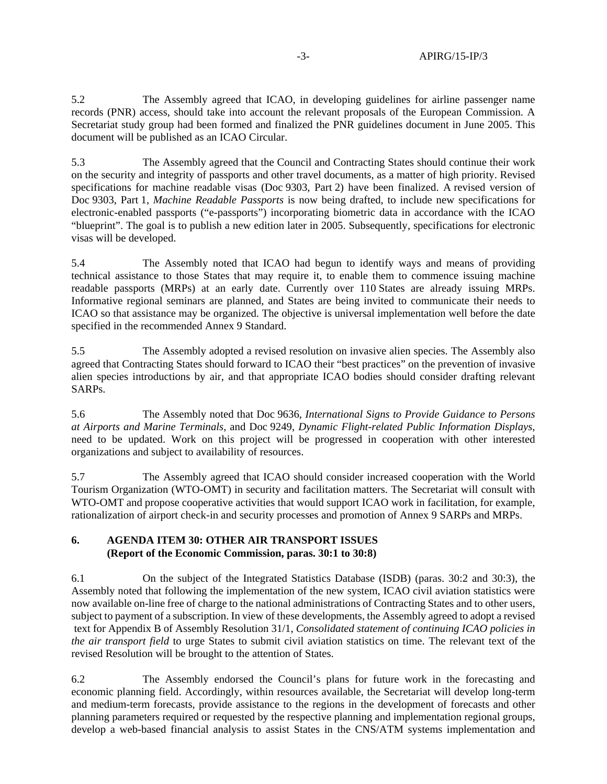5.2 The Assembly agreed that ICAO, in developing guidelines for airline passenger name records (PNR) access, should take into account the relevant proposals of the European Commission. A Secretariat study group had been formed and finalized the PNR guidelines document in June 2005. This document will be published as an ICAO Circular.

5.3 The Assembly agreed that the Council and Contracting States should continue their work on the security and integrity of passports and other travel documents, as a matter of high priority. Revised specifications for machine readable visas (Doc 9303, Part 2) have been finalized. A revised version of Doc 9303, Part 1, *Machine Readable Passports* is now being drafted, to include new specifications for electronic-enabled passports ("e-passports") incorporating biometric data in accordance with the ICAO "blueprint". The goal is to publish a new edition later in 2005. Subsequently, specifications for electronic visas will be developed.

5.4 The Assembly noted that ICAO had begun to identify ways and means of providing technical assistance to those States that may require it, to enable them to commence issuing machine readable passports (MRPs) at an early date. Currently over 110 States are already issuing MRPs. Informative regional seminars are planned, and States are being invited to communicate their needs to ICAO so that assistance may be organized. The objective is universal implementation well before the date specified in the recommended Annex 9 Standard.

5.5 The Assembly adopted a revised resolution on invasive alien species. The Assembly also agreed that Contracting States should forward to ICAO their "best practices" on the prevention of invasive alien species introductions by air, and that appropriate ICAO bodies should consider drafting relevant SARPs.

5.6 The Assembly noted that Doc 9636, *International Signs to Provide Guidance to Persons at Airports and Marine Terminals*, and Doc 9249, *Dynamic Flight-related Public Information Displays*, need to be updated. Work on this project will be progressed in cooperation with other interested organizations and subject to availability of resources.

5.7 The Assembly agreed that ICAO should consider increased cooperation with the World Tourism Organization (WTO-OMT) in security and facilitation matters. The Secretariat will consult with WTO-OMT and propose cooperative activities that would support ICAO work in facilitation, for example, rationalization of airport check-in and security processes and promotion of Annex 9 SARPs and MRPs.

## **6. AGENDA ITEM 30: OTHER AIR TRANSPORT ISSUES (Report of the Economic Commission, paras. 30:1 to 30:8)**

6.1 On the subject of the Integrated Statistics Database (ISDB) (paras. 30:2 and 30:3), the Assembly noted that following the implementation of the new system, ICAO civil aviation statistics were now available on-line free of charge to the national administrations of Contracting States and to other users, subject to payment of a subscription. In view of these developments, the Assembly agreed to adopt a revised text for Appendix B of Assembly Resolution 31/1, *Consolidated statement of continuing ICAO policies in the air transport field* to urge States to submit civil aviation statistics on time. The relevant text of the revised Resolution will be brought to the attention of States.

6.2 The Assembly endorsed the Council's plans for future work in the forecasting and economic planning field. Accordingly, within resources available, the Secretariat will develop long-term and medium-term forecasts, provide assistance to the regions in the development of forecasts and other planning parameters required or requested by the respective planning and implementation regional groups, develop a web-based financial analysis to assist States in the CNS/ATM systems implementation and